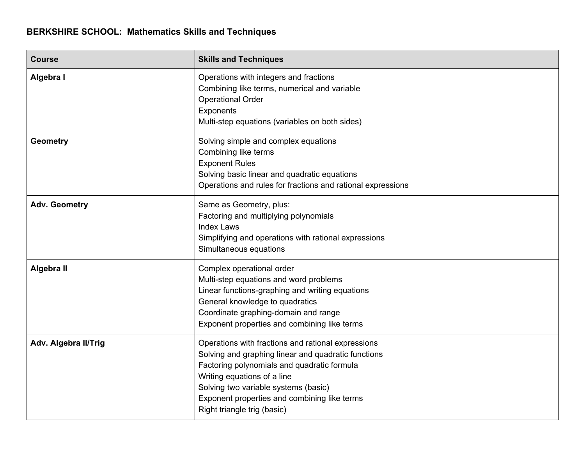| <b>Course</b>        | <b>Skills and Techniques</b>                                                                                                                                                                                                                                                                                   |
|----------------------|----------------------------------------------------------------------------------------------------------------------------------------------------------------------------------------------------------------------------------------------------------------------------------------------------------------|
| Algebra I            | Operations with integers and fractions<br>Combining like terms, numerical and variable<br><b>Operational Order</b><br>Exponents<br>Multi-step equations (variables on both sides)                                                                                                                              |
| <b>Geometry</b>      | Solving simple and complex equations<br>Combining like terms<br><b>Exponent Rules</b><br>Solving basic linear and quadratic equations<br>Operations and rules for fractions and rational expressions                                                                                                           |
| <b>Adv. Geometry</b> | Same as Geometry, plus:<br>Factoring and multiplying polynomials<br><b>Index Laws</b><br>Simplifying and operations with rational expressions<br>Simultaneous equations                                                                                                                                        |
| Algebra II           | Complex operational order<br>Multi-step equations and word problems<br>Linear functions-graphing and writing equations<br>General knowledge to quadratics<br>Coordinate graphing-domain and range<br>Exponent properties and combining like terms                                                              |
| Adv. Algebra II/Trig | Operations with fractions and rational expressions<br>Solving and graphing linear and quadratic functions<br>Factoring polynomials and quadratic formula<br>Writing equations of a line<br>Solving two variable systems (basic)<br>Exponent properties and combining like terms<br>Right triangle trig (basic) |